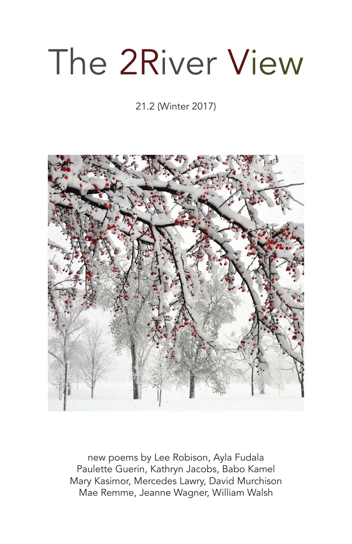## The 2River View

21.2 (Winter 2017)



new poems by Lee Robison, Ayla Fudala Paulette Guerin, Kathryn Jacobs, Babo Kamel Mary Kasimor, Mercedes Lawry, David Murchison Mae Remme, Jeanne Wagner, William Walsh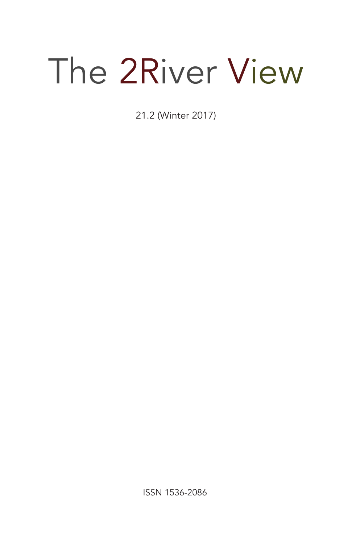# The 2River View

21.2 (Winter 2017)

ISSN 1536-2086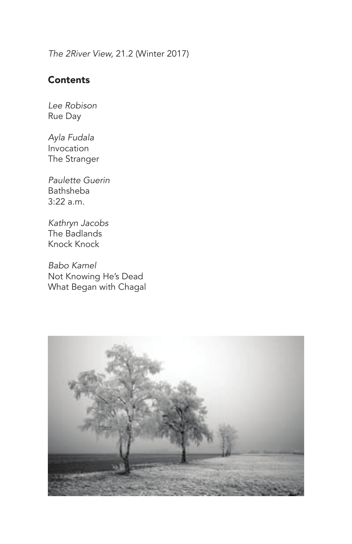*The 2River View,* 21.2 (Winter 2017)

## **Contents**

*Lee Robison* Rue Day

*Ayla Fudala* Invocation The Stranger

*Paulette Guerin* Bathsheba 3:22 a.m.

*Kathryn Jacobs* The Badlands Knock Knock

*Babo Kamel* Not Knowing He's Dead What Began with Chagal

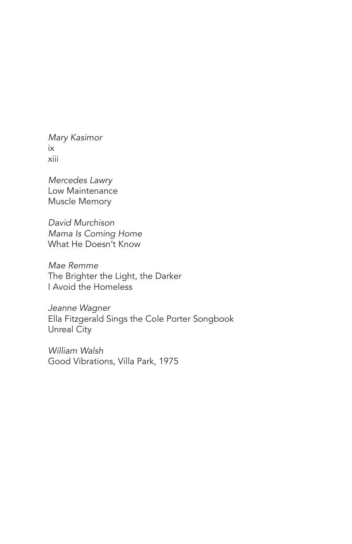*Mary Kasimor* ix xiii

*Mercedes Lawry* Low Maintenance Muscle Memory

*David Murchison Mama Is Coming Home* What He Doesn't Know

*Mae Remme* The Brighter the Light, the Darker I Avoid the Homeless

*Jeanne Wagner* Ella Fitzgerald Sings the Cole Porter Songbook Unreal City

*William Walsh* Good Vibrations, Villa Park, 1975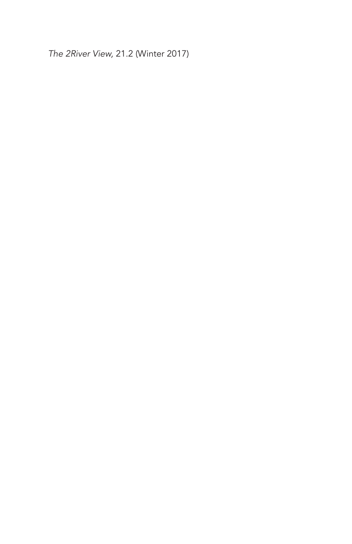*The 2River View,* 21.2 (Winter 2017)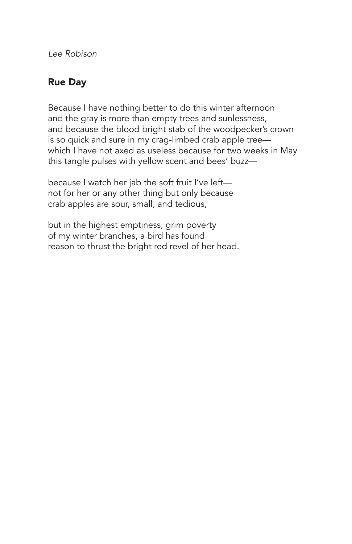*Lee Robison*

## Rue Day

Because I have nothing better to do this winter afternoon and the gray is more than empty trees and sunlessness, and because the blood bright stab of the woodpecker's crown is so quick and sure in my crag-limbed crab apple tree which I have not axed as useless because for two weeks in May this tangle pulses with yellow scent and bees' buzz—

because I watch her jab the soft fruit I've left not for her or any other thing but only because crab apples are sour, small, and tedious,

but in the highest emptiness, grim poverty of my winter branches, a bird has found reason to thrust the bright red revel of her head.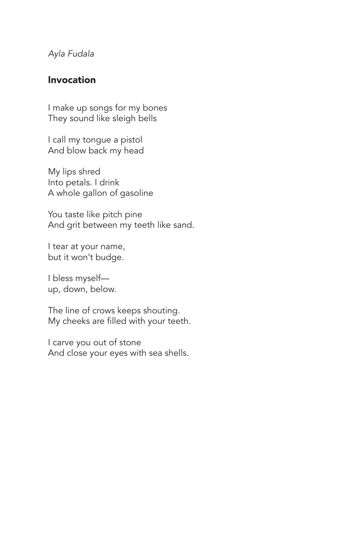*Ayla Fudala*

## Invocation

I make up songs for my bones They sound like sleigh bells

I call my tongue a pistol And blow back my head

My lips shred Into petals. I drink A whole gallon of gasoline

You taste like pitch pine And grit between my teeth like sand.

I tear at your name, but it won't budge.

I bless myself up, down, below.

The line of crows keeps shouting. My cheeks are filled with your teeth.

I carve you out of stone And close your eyes with sea shells.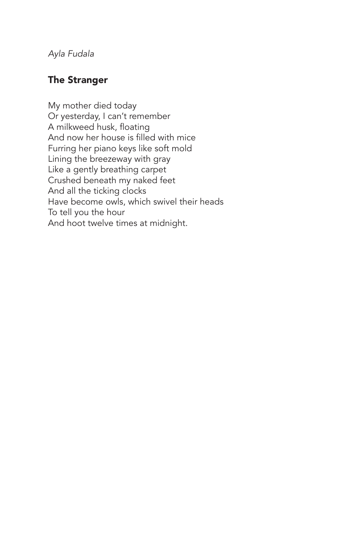*Ayla Fudala*

## The Stranger

My mother died today Or yesterday, I can't remember A milkweed husk, floating And now her house is filled with mice Furring her piano keys like soft mold Lining the breezeway with gray Like a gently breathing carpet Crushed beneath my naked feet And all the ticking clocks Have become owls, which swivel their heads To tell you the hour And hoot twelve times at midnight.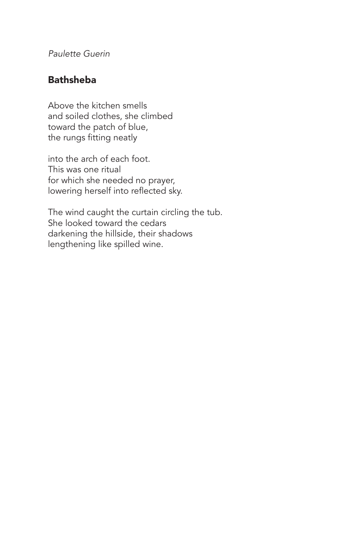*Paulette Guerin*

## Bathsheba

Above the kitchen smells and soiled clothes, she climbed toward the patch of blue, the rungs fitting neatly

into the arch of each foot. This was one ritual for which she needed no prayer, lowering herself into reflected sky.

The wind caught the curtain circling the tub. She looked toward the cedars darkening the hillside, their shadows lengthening like spilled wine.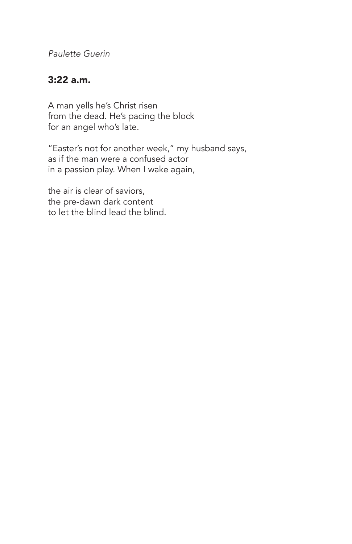*Paulette Guerin*

## 3:22 a.m.

A man yells he's Christ risen from the dead. He's pacing the block for an angel who's late.

"Easter's not for another week," my husband says, as if the man were a confused actor in a passion play. When I wake again,

the air is clear of saviors, the pre-dawn dark content to let the blind lead the blind.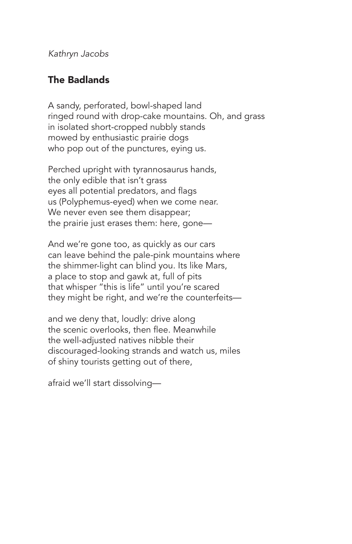*Kathryn Jacobs*

## The Badlands

A sandy, perforated, bowl-shaped land ringed round with drop-cake mountains. Oh, and grass in isolated short-cropped nubbly stands mowed by enthusiastic prairie dogs who pop out of the punctures, eying us.

Perched upright with tyrannosaurus hands, the only edible that isn't grass eyes all potential predators, and flags us (Polyphemus-eyed) when we come near. We never even see them disappear; the prairie just erases them: here, gone—

And we're gone too, as quickly as our cars can leave behind the pale-pink mountains where the shimmer-light can blind you. Its like Mars, a place to stop and gawk at, full of pits that whisper "this is life" until you're scared they might be right, and we're the counterfeits—

and we deny that, loudly: drive along the scenic overlooks, then flee. Meanwhile the well-adjusted natives nibble their discouraged-looking strands and watch us, miles of shiny tourists getting out of there,

afraid we'll start dissolving—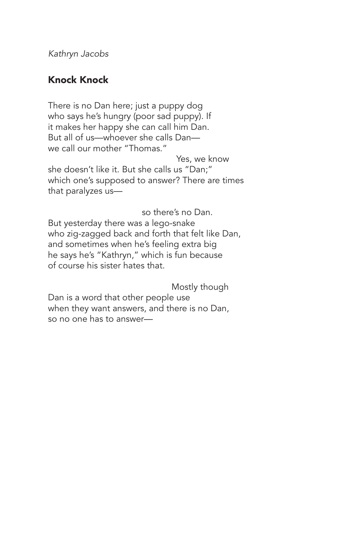*Kathryn Jacobs*

## Knock Knock

There is no Dan here; just a puppy dog who says he's hungry (poor sad puppy). If it makes her happy she can call him Dan. But all of us—whoever she calls Dan we call our mother "Thomas."

 Yes, we know she doesn't like it. But she calls us "Dan;" which one's supposed to answer? There are times that paralyzes us—

so there's no Dan.

But yesterday there was a lego-snake who zig-zagged back and forth that felt like Dan, and sometimes when he's feeling extra big he says he's "Kathryn," which is fun because of course his sister hates that.

 Mostly though Dan is a word that other people use when they want answers, and there is no Dan, so no one has to answer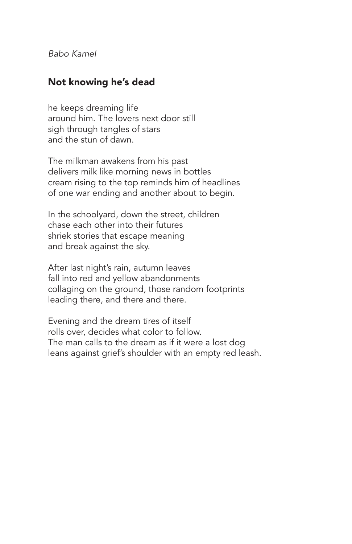*Babo Kamel*

#### Not knowing he's dead

he keeps dreaming life around him. The lovers next door still sigh through tangles of stars and the stun of dawn.

The milkman awakens from his past delivers milk like morning news in bottles cream rising to the top reminds him of headlines of one war ending and another about to begin.

In the schoolyard, down the street, children chase each other into their futures shriek stories that escape meaning and break against the sky.

After last night's rain, autumn leaves fall into red and yellow abandonments collaging on the ground, those random footprints leading there, and there and there.

Evening and the dream tires of itself rolls over, decides what color to follow. The man calls to the dream as if it were a lost dog leans against grief's shoulder with an empty red leash.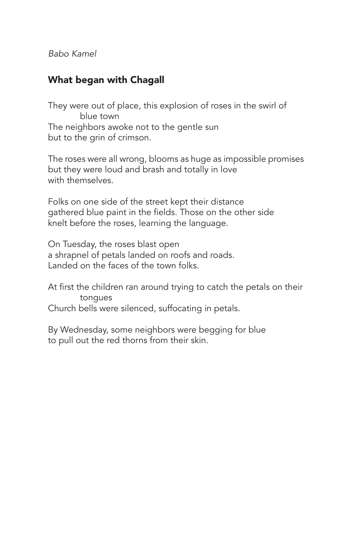*Babo Kamel*

## What began with Chagall

They were out of place, this explosion of roses in the swirl of blue town The neighbors awoke not to the gentle sun but to the grin of crimson.

The roses were all wrong, blooms as huge as impossible promises but they were loud and brash and totally in love with themselves.

Folks on one side of the street kept their distance gathered blue paint in the fields. Those on the other side knelt before the roses, learning the language.

On Tuesday, the roses blast open a shrapnel of petals landed on roofs and roads. Landed on the faces of the town folks.

At first the children ran around trying to catch the petals on their tongues Church bells were silenced, suffocating in petals.

By Wednesday, some neighbors were begging for blue to pull out the red thorns from their skin.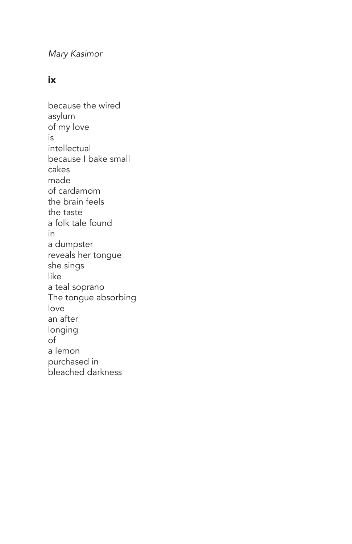*Mary Kasimor*

#### ix

because the wired asylum of my love is intellectual because I bake small cakes made of cardamom the brain feels the taste a folk tale found in a dumpster reveals her tongue she sings like a teal soprano The tongue absorbing love an after longing of a lemon purchased in bleached darkness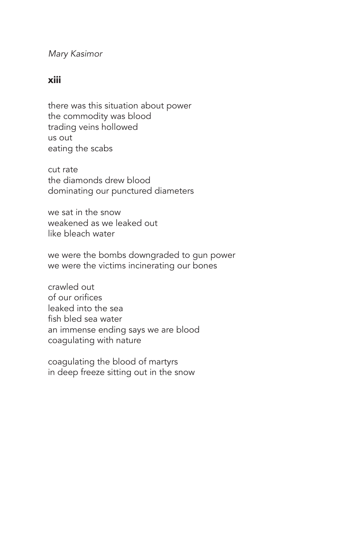*Mary Kasimor*

#### xiii

there was this situation about power the commodity was blood trading veins hollowed us out eating the scabs

cut rate the diamonds drew blood dominating our punctured diameters

we sat in the snow weakened as we leaked out like bleach water

we were the bombs downgraded to gun power we were the victims incinerating our bones

crawled out of our orifices leaked into the sea fish bled sea water an immense ending says we are blood coagulating with nature

coagulating the blood of martyrs in deep freeze sitting out in the snow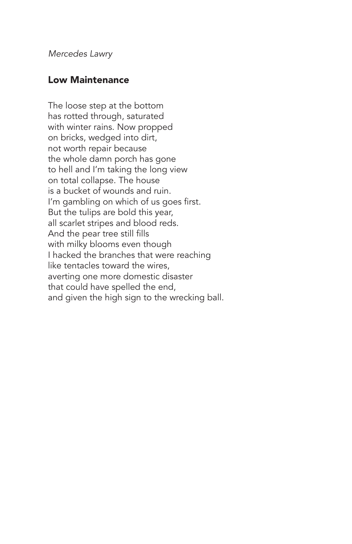*Mercedes Lawry*

#### Low Maintenance

The loose step at the bottom has rotted through, saturated with winter rains. Now propped on bricks, wedged into dirt, not worth repair because the whole damn porch has gone to hell and I'm taking the long view on total collapse. The house is a bucket of wounds and ruin. I'm gambling on which of us goes first. But the tulips are bold this year, all scarlet stripes and blood reds. And the pear tree still fills with milky blooms even though I hacked the branches that were reaching like tentacles toward the wires, averting one more domestic disaster that could have spelled the end, and given the high sign to the wrecking ball.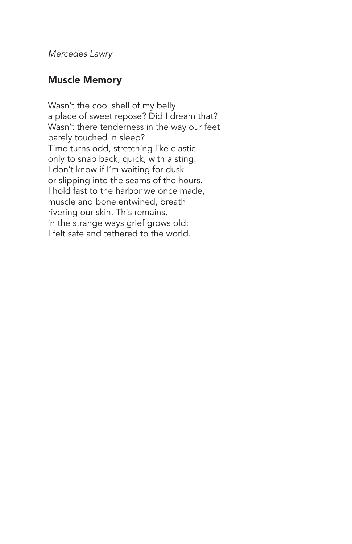*Mercedes Lawry*

#### Muscle Memory

Wasn't the cool shell of my belly a place of sweet repose? Did I dream that? Wasn't there tenderness in the way our feet barely touched in sleep? Time turns odd, stretching like elastic only to snap back, quick, with a sting. I don't know if I'm waiting for dusk or slipping into the seams of the hours. I hold fast to the harbor we once made, muscle and bone entwined, breath rivering our skin. This remains, in the strange ways grief grows old: I felt safe and tethered to the world.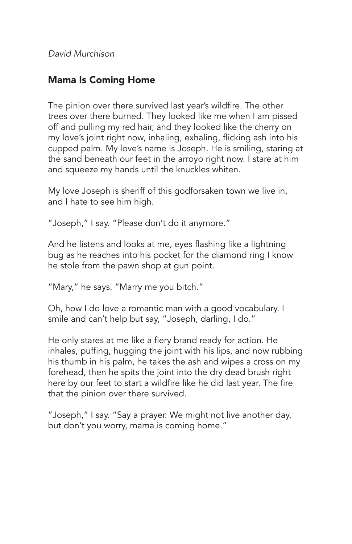*David Murchison*

## Mama Is Coming Home

The pinion over there survived last year's wildfire. The other trees over there burned. They looked like me when I am pissed off and pulling my red hair, and they looked like the cherry on my love's joint right now, inhaling, exhaling, flicking ash into his cupped palm. My love's name is Joseph. He is smiling, staring at the sand beneath our feet in the arroyo right now. I stare at him and squeeze my hands until the knuckles whiten.

My love Joseph is sheriff of this godforsaken town we live in, and I hate to see him high.

"Joseph," I say. "Please don't do it anymore."

And he listens and looks at me, eyes flashing like a lightning bug as he reaches into his pocket for the diamond ring I know he stole from the pawn shop at gun point.

"Mary," he says. "Marry me you bitch."

Oh, how I do love a romantic man with a good vocabulary. I smile and can't help but say, "Joseph, darling, I do."

He only stares at me like a fiery brand ready for action. He inhales, puffing, hugging the joint with his lips, and now rubbing his thumb in his palm, he takes the ash and wipes a cross on my forehead, then he spits the joint into the dry dead brush right here by our feet to start a wildfire like he did last year. The fire that the pinion over there survived.

"Joseph," I say. "Say a prayer. We might not live another day, but don't you worry, mama is coming home."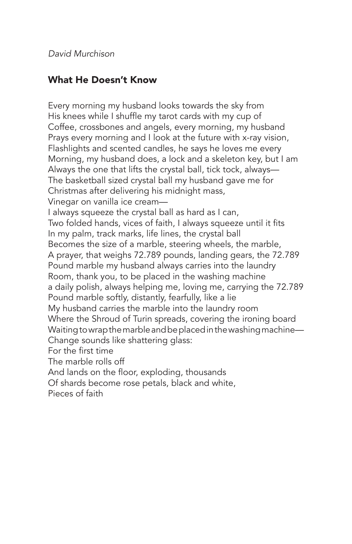*David Murchison*

## What He Doesn't Know

Every morning my husband looks towards the sky from His knees while I shuffle my tarot cards with my cup of Coffee, crossbones and angels, every morning, my husband Prays every morning and I look at the future with x-ray vision, Flashlights and scented candles, he says he loves me every Morning, my husband does, a lock and a skeleton key, but I am Always the one that lifts the crystal ball, tick tock, always— The basketball sized crystal ball my husband gave me for Christmas after delivering his midnight mass, Vinegar on vanilla ice cream— I always squeeze the crystal ball as hard as I can, Two folded hands, vices of faith, I always squeeze until it fits In my palm, track marks, life lines, the crystal ball Becomes the size of a marble, steering wheels, the marble, A prayer, that weighs 72.789 pounds, landing gears, the 72.789 Pound marble my husband always carries into the laundry Room, thank you, to be placed in the washing machine a daily polish, always helping me, loving me, carrying the 72.789 Pound marble softly, distantly, fearfully, like a lie My husband carries the marble into the laundry room Where the Shroud of Turin spreads, covering the ironing board Waiting to wrap the marble and be placed in the washing machine— Change sounds like shattering glass: For the first time The marble rolls off And lands on the floor, exploding, thousands Of shards become rose petals, black and white, Pieces of faith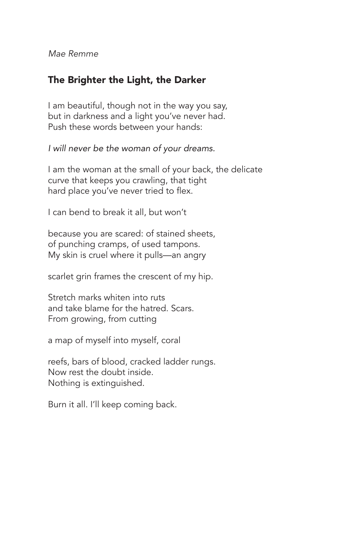*Mae Remme*

### The Brighter the Light, the Darker

I am beautiful, though not in the way you say, but in darkness and a light you've never had. Push these words between your hands:

*I will never be the woman of your dreams.*

I am the woman at the small of your back, the delicate curve that keeps you crawling, that tight hard place you've never tried to flex.

I can bend to break it all, but won't

because you are scared: of stained sheets, of punching cramps, of used tampons. My skin is cruel where it pulls—an angry

scarlet grin frames the crescent of my hip.

Stretch marks whiten into ruts and take blame for the hatred. Scars. From growing, from cutting

a map of myself into myself, coral

reefs, bars of blood, cracked ladder rungs. Now rest the doubt inside. Nothing is extinguished.

Burn it all. I'll keep coming back.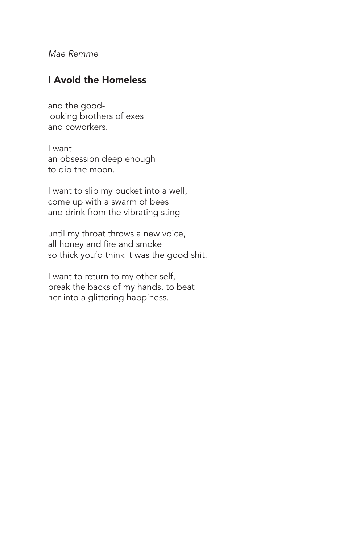*Mae Remme*

#### I Avoid the Homeless

and the goodlooking brothers of exes and coworkers.

I want an obsession deep enough to dip the moon.

I want to slip my bucket into a well, come up with a swarm of bees and drink from the vibrating sting

until my throat throws a new voice, all honey and fire and smoke so thick you'd think it was the good shit.

I want to return to my other self, break the backs of my hands, to beat her into a glittering happiness.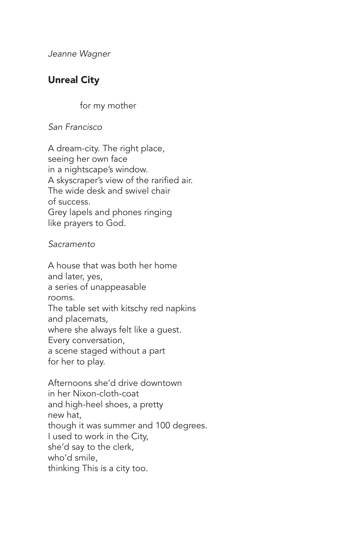*Jeanne Wagner*

## Unreal City

for my mother

*San Francisco*

A dream-city. The right place, seeing her own face in a nightscape's window. A skyscraper's view of the rarified air. The wide desk and swivel chair of success. Grey lapels and phones ringing like prayers to God.

*Sacramento*

A house that was both her home and later, yes, a series of unappeasable rooms. The table set with kitschy red napkins and placemats, where she always felt like a guest. Every conversation, a scene staged without a part for her to play.

Afternoons she'd drive downtown in her Nixon-cloth-coat and high-heel shoes, a pretty new hat, though it was summer and 100 degrees. I used to work in the City, she'd say to the clerk, who'd smile, thinking This is a city too.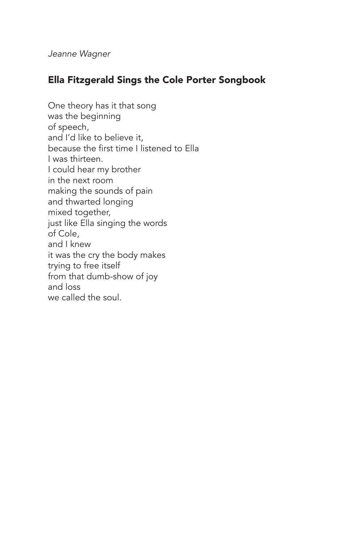*Jeanne Wagner*

## Ella Fitzgerald Sings the Cole Porter Songbook

One theory has it that song was the beginning of speech, and I'd like to believe it, because the first time I listened to Ella I was thirteen. I could hear my brother in the next room making the sounds of pain and thwarted longing mixed together, just like Ella singing the words of Cole, and I knew it was the cry the body makes trying to free itself from that dumb-show of joy and loss we called the soul.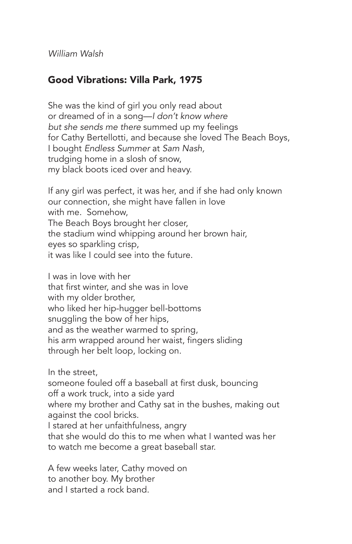*William Walsh*

## Good Vibrations: Villa Park, 1975

She was the kind of girl you only read about or dreamed of in a song—*I don't know where but she sends me there* summed up my feelings for Cathy Bertellotti, and because she loved The Beach Boys, I bought *Endless Summer* at *Sam Nash,* trudging home in a slosh of snow, my black boots iced over and heavy.

If any girl was perfect, it was her, and if she had only known our connection, she might have fallen in love with me. Somehow, The Beach Boys brought her closer, the stadium wind whipping around her brown hair, eyes so sparkling crisp, it was like I could see into the future.

I was in love with her that first winter, and she was in love with my older brother, who liked her hip-hugger bell-bottoms snuggling the bow of her hips, and as the weather warmed to spring, his arm wrapped around her waist, fingers sliding through her belt loop, locking on.

In the street,

someone fouled off a baseball at first dusk, bouncing off a work truck, into a side yard

where my brother and Cathy sat in the bushes, making out against the cool bricks.

I stared at her unfaithfulness, angry

that she would do this to me when what I wanted was her to watch me become a great baseball star.

A few weeks later, Cathy moved on to another boy. My brother and I started a rock band.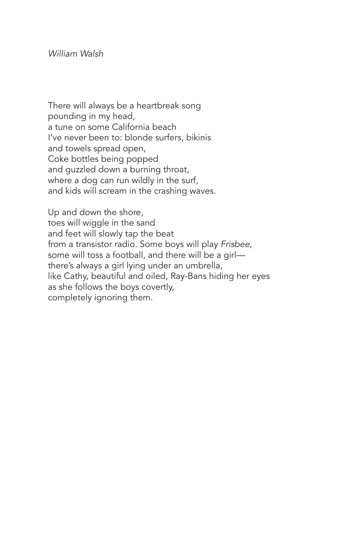There will always be a heartbreak song pounding in my head, a tune on some California beach I've never been to: blonde surfers, bikinis and towels spread open, Coke bottles being popped and guzzled down a burning throat, where a dog can run wildly in the surf, and kids will scream in the crashing waves.

Up and down the shore, toes will wiggle in the sand and feet will slowly tap the beat from a transistor radio. Some boys will play *Frisbee,* some will toss a football, and there will be a girl there's always a girl lying under an umbrella, like Cathy, beautiful and oiled, Ray-Bans hiding her eyes as she follows the boys covertly, completely ignoring them.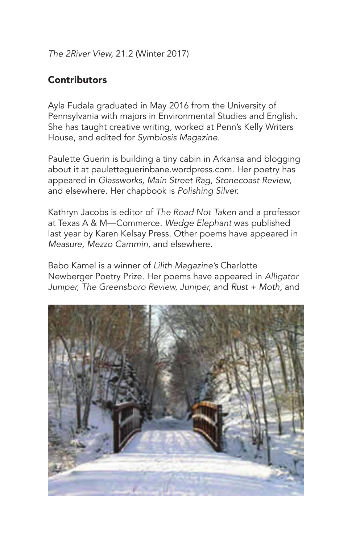*The 2River View,* 21.2 (Winter 2017)

## **Contributors**

Ayla Fudala graduated in May 2016 from the University of Pennsylvania with majors in Environmental Studies and English. She has taught creative writing, worked at Penn's Kelly Writers House, and edited for *Symbiosis Magazine.*

Paulette Guerin is building a tiny cabin in Arkansa and blogging about it at pauletteguerinbane.wordpress.com. Her poetry has appeared in *Glassworks, Main Street Rag, Stonecoast Review,* and elsewhere. Her chapbook is *Polishing Silver.*

Kathryn Jacobs is editor of *The Road Not Taken* and a professor at Texas A & M—Commerce. *Wedge Elephant* was published last year by Karen Kelsay Press. Other poems have appeared in *Measure, Mezzo Cammin,* and elsewhere.

Babo Kamel is a winner of *Lilith Magazine's* Charlotte Newberger Poetry Prize. Her poems have appeared in *Alligator Juniper, The Greensboro Review, Juniper,* and *Rust + Moth,* and

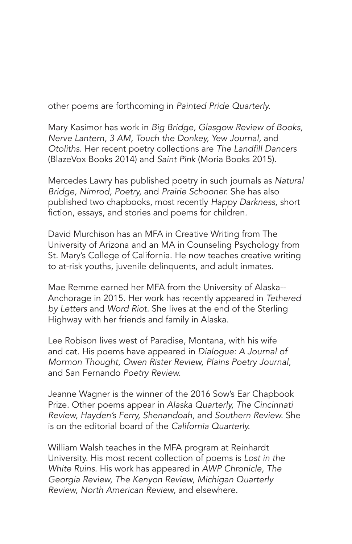other poems are forthcoming in *Painted Pride Quarterly.*

Mary Kasimor has work in *Big Bridge, Glasgow Review of Books, Nerve Lantern, 3 AM, Touch the Donkey, Yew Journal,* and *Otoliths.* Her recent poetry collections are The Landfill Dancers (BlazeVox Books 2014) and *Saint Pink* (Moria Books 2015).

Mercedes Lawry has published poetry in such journals as *Natural Bridge, Nimrod, Poetry,* and *Prairie Schooner.* She has also published two chapbooks, most recently *Happy Darkness,* short fiction, essays, and stories and poems for children.

David Murchison has an MFA in Creative Writing from The University of Arizona and an MA in Counseling Psychology from St. Mary's College of California. He now teaches creative writing to at-risk youths, juvenile delinquents, and adult inmates.

Mae Remme earned her MFA from the University of Alaska-- Anchorage in 2015. Her work has recently appeared in *Tethered by Letters* and *Word Riot.* She lives at the end of the Sterling Highway with her friends and family in Alaska.

Lee Robison lives west of Paradise, Montana, with his wife and cat. His poems have appeared in *Dialogue: A Journal of Mormon Thought, Owen Rister Review, Plains Poetry Journal,* and San Fernando *Poetry Review.*

Jeanne Wagner is the winner of the 2016 Sow's Ear Chapbook Prize. Other poems appear in *Alaska Quarterly, The Cincinnati Review, Hayden's Ferry, Shenandoah,* and *Southern Review.* She is on the editorial board of the *California Quarterly.*

William Walsh teaches in the MFA program at Reinhardt University. His most recent collection of poems is *Lost in the White Ruins.* His work has appeared in *AWP Chronicle, The Georgia Review, The Kenyon Review, Michigan Quarterly Review, North American Review,* and elsewhere.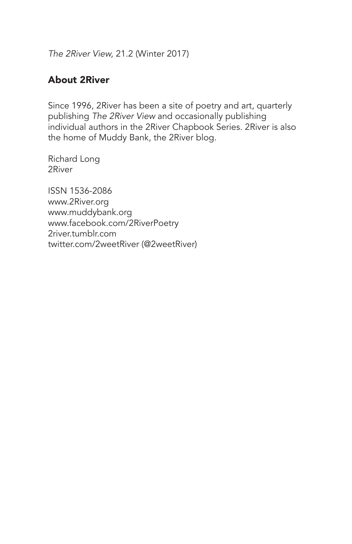*The 2River View,* 21.2 (Winter 2017)

## About 2River

Since 1996, 2River has been a site of poetry and art, quarterly publishing *The 2River View* and occasionally publishing individual authors in the 2River Chapbook Series. 2River is also the home of Muddy Bank, the 2River blog.

Richard Long 2River

ISSN 1536-2086 www.2River.org www.muddybank.org www.facebook.com/2RiverPoetry 2river.tumblr.com twitter.com/2weetRiver (@2weetRiver)